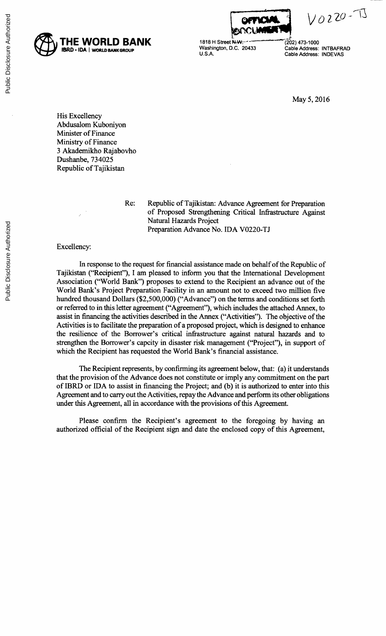

 $V0220 - T$ 

**THE WORLD BANK** 1818 H Street **N.W. 2008** (202) 473-1000

IBRD \* IDA | WORLD BANKGROUP WAShington, D.C. 20433 Cable Address: INTBAFRAD<br>U.S.A. Cable Address: INDEVAS **U.S.A.** Cable Address: **INDEVAS**

May **5, 2016**

His Excellency Abdusalom Kuboniyon Minister of Finance Ministry of Finance **3** Akademikho Rajabovho Dushanbe, **734025** Republic of Tajikistan

Re: Republic of Tajikistan: Advance Agreement for Preparation of Proposed Strengthening Critical Infrastructure Against Natural Hazards Project Preparation Advance No. **IDA V0220-TJ**

## Excellency:

In response to the request for financial assistance made on behalf of the Republic of Tajikistan ("Recipient"), **I** am pleased to inform you that the International Development Association ("World Bank") proposes to extend to the Recipient an advance out of the World Bank's Project Preparation Facility in an amount not to exceed two million five hundred thousand Dollars **(\$2,500,000)** ("Advance") on the terms and conditions set forth or referred to in this letter agreement ("Agreement"), which includes the attached Annex, to assist in financing the activities described in the Annex ("Activities"). The objective of the Activities is to facilitate the preparation of a proposed project, which is designed to enhance the resilience of the Borrower's critical infrastructure against natural hazards and to strengthen the Borrower's capcity in disaster risk management ("Project"), in support of which the Recipient has requested the World Bank's financial assistance.

The Recipient represents, **by** confirming its agreement below, that: (a) it understands that the provision of the Advance does not constitute or imply any commitment on the part of IBRD or **IDA** to assist in financing the Project; and **(b)** it is authorized to enter into this Agreement and to carry out the Activities, repay the Advance and perform its other obligations under this Agreement, all in accordance with the provisions of this Agreement.

Please confirm the Recipient's agreement to the foregoing **by** having an authorized official of the Recipient sign and date the enclosed copy of this Agreement,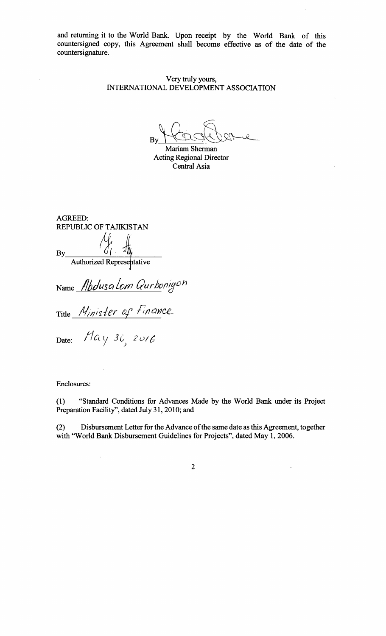and returning it to the World Bank. Upon receipt **by** the World Bank of this countersigned copy, this Agreement shall become effective as of the date of the countersignature.

> Very truly yours, **INTERNATIONAL DEVELOPMENT ASSOCIATION**

By\_

Mariam Sherman Acting Regional Director Central Asia

AGREED: REPUBLIC OF **TAJIKISTAN By\_\_\_** Authorized Represehtative

Name Abdusa Lom Qurboniy<sup>on</sup>

*Title Minister of Finance* 

Date:  $\frac{\textstyle n}{\textstyle \mu}$   $\frac{\textstyle n}{\textstyle \mu}$   $\frac{\textstyle 30}{\textstyle \mu}$   $\frac{\textstyle 2016}{\textstyle \mu}$ 

Enclosures:

**(1)** "Standard Conditions for Advances Made **by** the World Bank under its Project Preparation Facility", dated July **31,** 2010; and

(2) Disbursement Letter for the Advance of the same date as this Agreement, together with "World Bank Disbursement Guidelines for Projects", dated May **1, 2006.**

2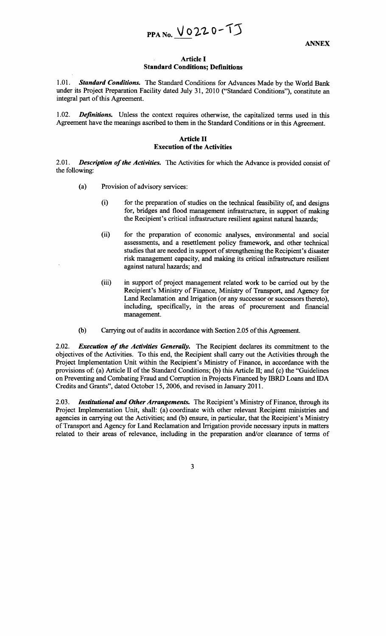**PPA No.**  $\sqrt{0220 - 11}$ 

#### **Article I Standard Conditions; Definitions**

*1.01. Standard Conditions.* The Standard Conditions for Advances Made **by** the World Bank under its Project Preparation Facility dated July **31,** 2010 ("Standard Conditions"), constitute an integral part of this Agreement.

1.02. *Definitions.* Unless the context requires otherwise, the capitalized terms used in this Agreement have the meanings ascribed to them in the Standard Conditions or in this Agreement.

# **Article II Execution of the Activities**

*2.01. Description of the Activities.* The Activities for which the Advance is provided consist of the following:

- (a) Provision of advisory services:
	- (i) for the preparation of studies on the technical feasibility of, and designs for, bridges and flood management infrastructure, in support of making the Recipient's critical infrastructure resilient against natural hazards;
	- (ii) for the preparation of economic analyses, environmental and social assessments, and a resettlement policy framework, and other technical studies that are needed in support of strengthening the Recipient's disaster risk management capacity, and making its critical infrastructure resilient against natural hazards; and
	- (iii) in support of project management related work to be carried out **by** the Recipient's Ministry of Finance, Ministry of Transport, and Agency for Land Reclamation and Irrigation (or any successor or successors thereto), including, specifically, in the areas of procurement and financial management.
- **(b)** Carrying out of audits in accordance with Section **2.05** of this Agreement.

*2.02. Execution of the Activities Generally.* The Recipient declares its commitment to the objectives of the Activities. To this end, the Recipient shall carry out the Activities through the Project Implementation Unit within the Recipient's Ministry of Finance, in accordance with the provisions of: (a) Article II of the Standard Conditions; **(b)** this Article **II;** and (c) the "Guidelines on Preventing and Combating Fraud and Corruption in Projects Financed **by** IBRD Loans and **IDA** Credits and Grants", dated October *15,* **2006,** and revised in January **2011.**

*2.03. Institutional and Other Arrangements.* The Recipient's Ministry of Finance, through its Project Implementation Unit, shall: (a) coordinate with other relevant Recipient ministries and agencies in carrying out the Activities; and **(b)** ensure, in particular, that the Recipient's Ministry of Transport and Agency for Land Reclamation and Irrigation provide necessary inputs in matters related to their areas of relevance, including in the preparation and/or clearance of terms of

**3**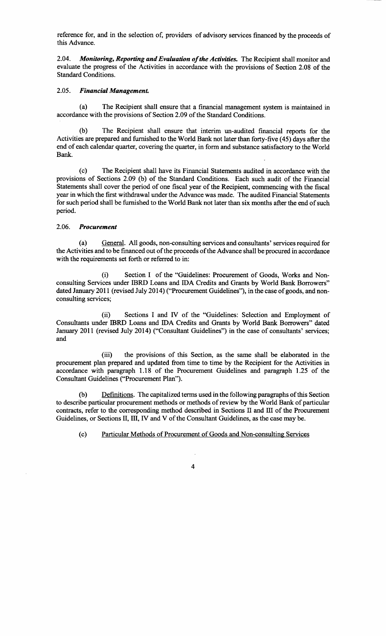reference for, and in the selection of, providers of advisory services financed **by** the proceeds of this Advance.

*2.04. Monitoring, Reporting and Evaluation of the Activities.* The Recipient shall monitor and evaluate the progress of the Activities in accordance with the provisions of Section **2.08** of the Standard Conditions.

# *2.05. Financial Management.*

(a) The Recipient shall ensure that a financial management system is maintained in accordance with the provisions of Section **2.09** of the Standard Conditions.

**(b)** The Recipient shall ensure that interim un-audited financial reports for the Activities are prepared and furnished to the World Bank not later than forty-five (45) days after the end of each calendar quarter, covering the quarter, in form and substance satisfactory to the World Bank.

**(c)** The Recipient shall have its Financial Statements audited in accordance with the provisions of Sections **2.09 (b)** of the Standard Conditions. Each such audit of the Financial Statements shall cover the period of one fiscal year of the Recipient, commencing with the fiscal year in which the first withdrawal under the Advance was made. The audited Financial Statements for such period shall be furnished to the World Bank not later than six months after the end of such period.

## *2.06. Procurement*

(a) General. **All** goods, non-consulting services and consultants' services required for the Activities and to be financed out of the proceeds of the Advance shall be procured in accordance with the requirements set forth or referred to in:

(i) Section **I** of the "Guidelines: Procurement of Goods, Works and Nonconsulting Services under IBRD Loans and **IDA** Credits and Grants **by** World Bank Borrowers" dated January 2011 (revised July 2014) ("Procurement Guidelines"), in the case of goods, and nonconsulting services;

(ii) Sections **I** and IV of the "Guidelines: Selection and Employment of Consultants under IBRD Loans and **IDA** Credits and Grants **by** World Bank Borrowers" dated January 2011 (revised July 2014) ("Consultant Guidelines") in the case of consultants' services; and

(iii) the provisions of this Section, as the same shall be elaborated in the procurement plan prepared and updated from time to time **by** the Recipient for the Activities in accordance with paragraph **1.18** of the Procurement Guidelines and paragraph **1.25** of the Consultant Guidelines ("Procurement Plan").

**(b)** Definitions. The capitalized terms used in the following paragraphs of this Section to describe particular procurement methods or methods of review **by** the World Bank of particular contracts, refer to the corresponding method described in Sections II and III of the Procurement Guidelines, or Sections **II,** III, IV and V of the Consultant Guidelines, as the case may be.

(c) Particular Methods of Procurement of Goods and Non-consulting Services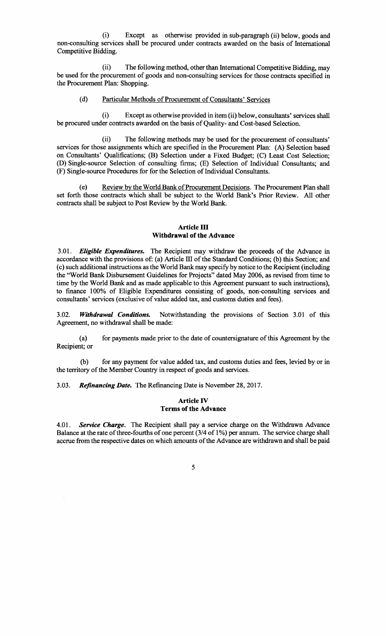(i) Except as otherwise provided in sub-paragraph (ii) below, goods and non-consulting services shall be procured under contracts awarded on the basis of International Competitive Bidding.

(ii) The following method, other than International Competitive Bidding, may be used for the procurement of goods and non-consulting services for those contracts specified in the Procurement Plan: Shopping.

#### **(d)** Particular Methods of Procurement of Consultants' Services

(i) Except as otherwise provided in item (ii) below, consultants' services shall be procured under contracts awarded on the basis of Quality- and Cost-based Selection.

(ii) The following methods may be used for the procurement of consultants' services for those assignments which are specified in the Procurement Plan: **(A)** Selection based on Consultants' Qualifications; (B) Selection under a Fixed Budget; **(C)** Least Cost Selection; **(D)** Single-source Selection of consulting firms; **(E)** Selection of Individual Consultants; and (F) Single-source Procedures for for the Selection of Individual Consultants.

(e) Review **by** the World Bank of Procurement Decisions. The Procurement Plan shall set forth those contracts which shall be subject to the World Bank's Prior Review. **All** other contracts shall be subject to Post Review **by** the World Bank.

## **Article III Withdrawal of the Advance**

*3.01. Eligible Expenditures.* The Recipient may withdraw the proceeds of the Advance in accordance with the provisions of: (a) Article **III** of the Standard Conditions; **(b)** this Section; and (c) such additional instructions as the World Bank may specify **by** notice to the Recipient (including the "World Bank Disbursement Guidelines for Projects" dated May **2006,** as revised from time to time **by** the World Bank and as made applicable to this Agreement pursuant to such instructions), to finance **100%** of Eligible Expenditures consisting of goods, non-consulting services and consultants' services (exclusive of value added tax, and customs duties and fees).

**3.02.** *Withdrawal Conditions.* Notwithstanding the provisions of Section **3.01** of this Agreement, no withdrawal shall be made:

(a) for payments made prior to the date of countersignature of this Agreement **by** the Recipient; or

**(b)** for any payment for value added tax, and customs duties and fees, levied **by** or in the territory of the Member Country in respect of goods and services.

*3.03. Refinancing Date.* The Refinancing Date is November **28, 2017.**

# **Article IV Terms of the Advance**

*4.01. Service Charge.* The Recipient shall pay **a** service charge on the Withdrawn Advance Balance at the rate of three-fourths of one percent (3/4 of **1%) per** annum. The service charge shall accrue from the respective dates on which amounts of the Advance are withdrawn and shall be paid

**5**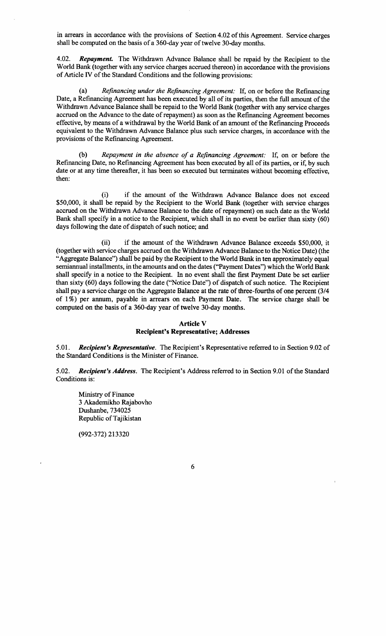in arrears in accordance with the provisions of Section 4.02 of this Agreement. Service charges shall be computed on the basis of a 360-day year of twelve 30-day months.

*4.02. Repayment.* The Withdrawn Advance Balance shall be repaid **by** the Recipient to the World Bank (together with any service charges accrued thereon) in accordance with the provisions of Article IV of the Standard Conditions and the following provisions:

(a) *Refinancing under the Refinancing Agreement:* **If,** on or before the Refinancing Date, a Refinancing Agreement has been executed **by** all of its parties, then the full amount of the Withdrawn Advance Balance shall be repaid to the World Bank (together with any service charges accrued on the Advance to the date of repayment) as soon as the Refinancing Agreement becomes effective, **by** means of a withdrawal **by** the World Bank of an amount of the Refinancing Proceeds equivalent to the Withdrawn Advance Balance plus such service charges, in accordance with the provisions of the Refinancing Agreement.

**(b)** *Repayment in the absence of a Refinancing Agreement:* **If,** on or before the Refinancing Date, no Refinancing Agreement has been executed **by** all of its parties, or if, **by** such date or at any time thereafter, it has been so executed but terminates without becoming effective, then:

(i) if the amount of the Withdrawn Advance Balance does not exceed **\$50,000,** it shall be repaid **by** the Recipient to the World Bank (together with service charges accrued on the Withdrawn Advance Balance to the date of repayment) on such date as the World Bank shall specify in a notice to the Recipient, which shall in no event be earlier than sixty **(60)** days following the date of dispatch of such notice; and

(ii) if the amount of the Withdrawn Advance Balance exceeds **\$50,000,** it (together with service charges accrued on the Withdrawn Advance Balance to the Notice Date) (the "Aggregate Balance") shall be paid **by** the Recipient to the World Bank in ten approximately equal semiannual installments, in the amounts and on the dates ("Payment Dates") which the World Bank shall specify in a notice to the Recipient. In no event shall the first Payment Date be set earlier than sixty **(60)** days following the date ("Notice Date") of dispatch of such notice. The Recipient shall pay a service charge on the Aggregate Balance at the rate of three-fourths of one percent (3/4 of 1 **%)** per annum, payable in arrears on each Payment Date. The service charge shall be computed on the basis of a 360-day year of twelve 30-day months.

# **Article V Recipient's Representative; Addresses**

*5.01. Recipient's Representative.* The Recipient's Representative referred to in Section **9.02** of the Standard Conditions is the Minister of Finance.

*5.02. Recipient's Address.* The Recipient's Address referred to in Section **9.01** of the Standard Conditions is:

Ministry of Finance **3** Akademikho Rajabovho Dushanbe, 734025 Republic of Tajikistan

**(992-372) 213320**